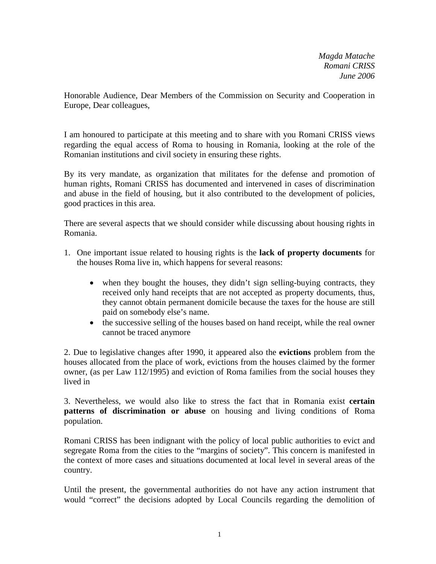*Magda Matache Romani CRISS June 2006*

Honorable Audience, Dear Members of the Commission on Security and Cooperation in Europe, Dear colleagues,

I am honoured to participate at this meeting and to share with you Romani CRISS views regarding the equal access of Roma to housing in Romania, looking at the role of the Romanian institutions and civil society in ensuring these rights.

By its very mandate, as organization that militates for the defense and promotion of human rights, Romani CRISS has documented and intervened in cases of discrimination and abuse in the field of housing, but it also contributed to the development of policies, good practices in this area.

There are several aspects that we should consider while discussing about housing rights in Romania.

- 1. One important issue related to housing rights is the **lack of property documents** for the houses Roma live in, which happens for several reasons:
	- when they bought the houses, they didn't sign selling-buying contracts, they received only hand receipts that are not accepted as property documents, thus, they cannot obtain permanent domicile because the taxes for the house are still paid on somebody else's name.
	- the successive selling of the houses based on hand receipt, while the real owner cannot be traced anymore

2. Due to legislative changes after 1990, it appeared also the **evictions** problem from the houses allocated from the place of work, evictions from the houses claimed by the former owner, (as per Law 112/1995) and eviction of Roma families from the social houses they lived in

3. Nevertheless, we would also like to stress the fact that in Romania exist **certain patterns of discrimination or abuse** on housing and living conditions of Roma population.

Romani CRISS has been indignant with the policy of local public authorities to evict and segregate Roma from the cities to the "margins of society". This concern is manifested in the context of more cases and situations documented at local level in several areas of the country.

Until the present, the governmental authorities do not have any action instrument that would "correct" the decisions adopted by Local Councils regarding the demolition of